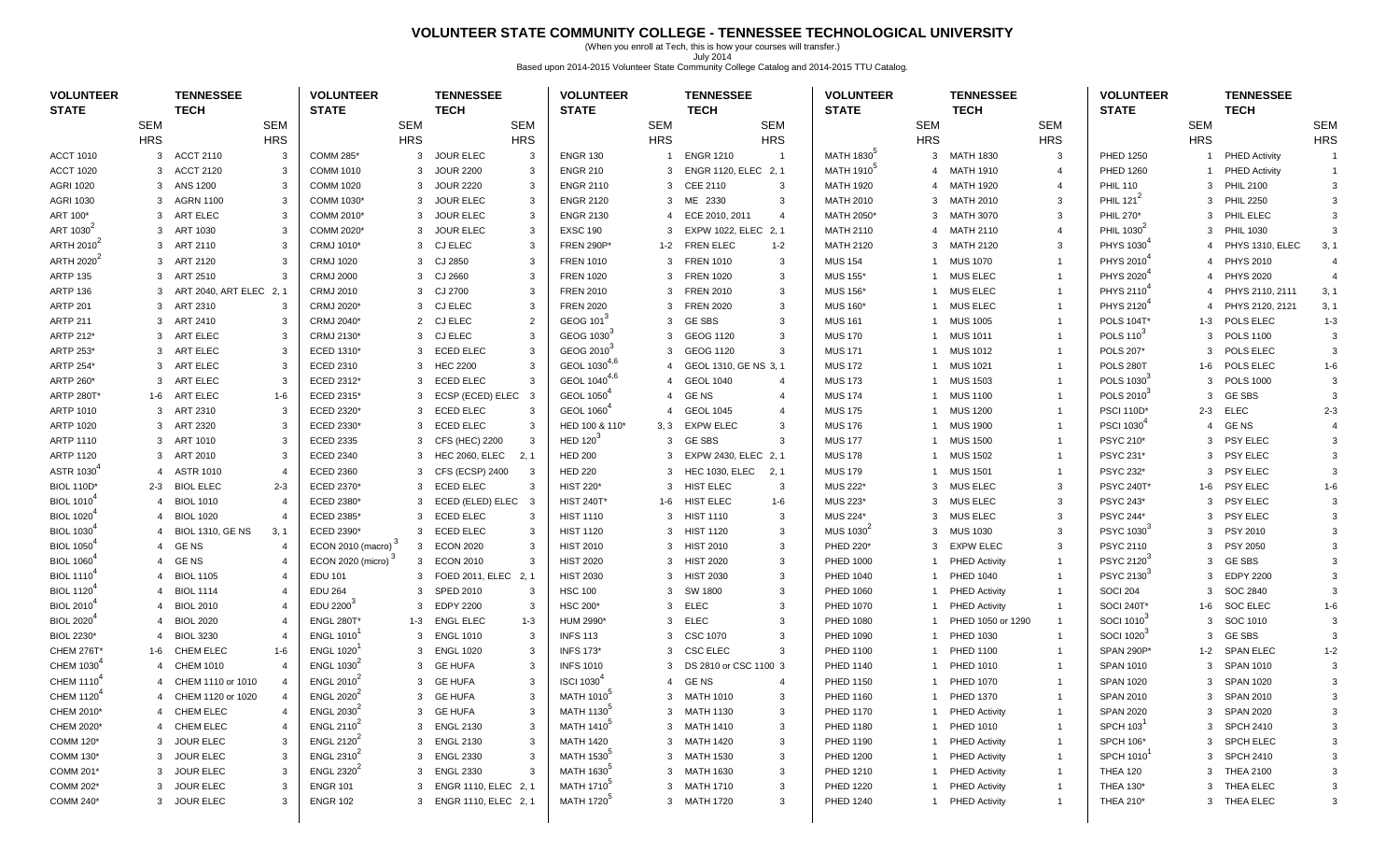#### **VOLUNTEER STATE COMMUNITY COLLEGE - TENNESSEE TECHNOLOGICAL UNIVERSITY**

(When you enroll at Tech, this is how your courses will transfer.) July 2014 Based upon 2014-2015 Volunteer State Community College Catalog and 2014-2015 TTU Catalog.

| <b>VOLUNTEER</b><br><b>STATE</b> |                | <b>TENNESSEE</b><br><b>TECH</b> |            | <b>VOLUNTEER</b><br><b>STATE</b> |               | <b>TENNESSEE</b><br><b>TECH</b> |                | <b>VOLUNTEER</b><br><b>STATE</b> |                | <b>TENNESSEE</b><br><b>TECH</b> |                | <b>VOLUNTEER</b><br><b>STATE</b> |                | <b>TENNESSEE</b><br><b>TECH</b> |                | <b>VOLUNTEER</b><br><b>STATE</b> |                | <b>TENNESSEE</b><br><b>TECH</b> |            |
|----------------------------------|----------------|---------------------------------|------------|----------------------------------|---------------|---------------------------------|----------------|----------------------------------|----------------|---------------------------------|----------------|----------------------------------|----------------|---------------------------------|----------------|----------------------------------|----------------|---------------------------------|------------|
|                                  | <b>SEM</b>     |                                 | <b>SEM</b> |                                  | <b>SEM</b>    |                                 | <b>SEM</b>     |                                  | <b>SEM</b>     | <b>SEM</b>                      |                |                                  | <b>SEM</b>     |                                 | <b>SEM</b>     |                                  | <b>SEM</b>     |                                 | <b>SEM</b> |
|                                  | <b>HRS</b>     |                                 | <b>HRS</b> |                                  | <b>HRS</b>    |                                 | <b>HRS</b>     |                                  | <b>HRS</b>     | <b>HRS</b>                      |                |                                  | <b>HRS</b>     |                                 | <b>HRS</b>     |                                  | <b>HRS</b>     |                                 | <b>HRS</b> |
| <b>ACCT 1010</b>                 | 3              | <b>ACCT 2110</b>                | 3          | <b>COMM 285*</b>                 | 3             | <b>JOUR ELEC</b>                | 3              | <b>ENGR 130</b>                  |                | <b>ENGR 1210</b>                | $\overline{1}$ | MATH 1830                        | 3              | <b>MATH 1830</b>                | 3              | <b>PHED 1250</b>                 |                | <b>PHED Activity</b>            |            |
| <b>ACCT 1020</b>                 | 3              | <b>ACCT 2120</b>                | 3          | <b>COMM 1010</b>                 | 3             | <b>JOUR 2200</b>                | 3              | <b>ENGR 210</b>                  | 3              | ENGR 1120, ELEC 2, 1            |                | MATH 1910 <sup>°</sup>           | $\overline{4}$ | <b>MATH 1910</b>                | $\overline{4}$ | <b>PHED 1260</b>                 |                | <b>PHED Activity</b>            |            |
| <b>AGRI 1020</b>                 | 3              | ANS 1200                        |            | <b>COMM 1020</b>                 | 3             | <b>JOUR 2220</b>                | 3              | <b>ENGR 2110</b>                 | 3              | CEE 2110                        | 3              | <b>MATH 1920</b>                 | $\overline{4}$ | <b>MATH 1920</b>                | $\overline{4}$ | <b>PHIL 110</b>                  | 3              | <b>PHIL 2100</b>                | 3          |
| <b>AGRI 1030</b>                 |                | 3 AGRN 1100                     |            | COMM 1030*                       | 3             | <b>JOUR ELEC</b>                | 3              | <b>ENGR 2120</b>                 | 3              | ME 2330                         | 3              | <b>MATH 2010</b>                 | 3              | <b>MATH 2010</b>                | 3              | PHIL 121 <sup>2</sup>            | 3              | <b>PHIL 2250</b>                | 3          |
| ART 100*                         | 3              | ART ELEC                        |            | COMM 2010*                       | 3             | <b>JOUR ELEC</b>                | 3              | <b>ENGR 2130</b>                 | 4              | ECE 2010, 2011                  | $\overline{4}$ | MATH 2050*                       | 3              | <b>MATH 3070</b>                | 3              | PHIL 270*                        | 3              | PHIL ELEC                       |            |
| ART 1030 <sup>2</sup>            | $\mathcal{R}$  | ART 1030                        |            | COMM 2020*                       | 3             | <b>JOUR ELEC</b>                | 3              | <b>EXSC 190</b>                  | 3              | EXPW 1022, ELEC 2, 1            |                | <b>MATH 2110</b>                 | $\overline{4}$ | <b>MATH 2110</b>                | $\overline{4}$ | PHIL 1030                        | 3              | <b>PHIL 1030</b>                |            |
| ARTH 2010 <sup>4</sup>           | 3              | ART 2110                        | 3          | CRMJ 1010*                       | 3             | <b>CJ ELEC</b>                  | 3              | <b>FREN 290P*</b>                | 1-2            | <b>FREN ELEC</b>                | $1 - 2$        | <b>MATH 2120</b>                 | 3              | <b>MATH 2120</b>                | 3              | PHYS 1030                        | $\overline{4}$ | PHYS 1310, ELEC                 | 3, 1       |
| ARTH 2020                        | 3              | ART 2120                        |            | <b>CRMJ 1020</b>                 | 3             | CJ 2850                         | 3              | <b>FREN 1010</b>                 | 3              | <b>FREN 1010</b>                | 3              | <b>MUS 154</b>                   | 1              | <b>MUS 1070</b>                 | $\mathbf 1$    | PHYS 2010                        |                | PHYS 2010                       |            |
| <b>ARTP 135</b>                  |                | 3 ART 2510                      |            | <b>CRMJ 2000</b>                 | 3             | CJ 2660                         | 3              | <b>FREN 1020</b>                 | 3              | <b>FREN 1020</b>                | 3              | <b>MUS 155*</b>                  | 1              | MUS ELEC                        | $\overline{1}$ | PHYS 2020                        | $\overline{4}$ | <b>PHYS 2020</b>                |            |
| <b>ARTP 136</b>                  | 3              | ART 2040, ART ELEC 2, 1         |            | <b>CRMJ 2010</b>                 | 3             | CJ 2700                         | 3              | <b>FREN 2010</b>                 | 3              | <b>FREN 2010</b>                | 3              | <b>MUS 156*</b>                  | 1              | <b>MUS ELEC</b>                 | -1             | PHYS 2110                        |                | PHYS 2110, 2111                 | 3, 1       |
| <b>ARTP 201</b>                  | 3              | ART 2310                        | 3          | CRMJ 2020*                       | 3             | <b>CJ ELEC</b>                  | 3              | <b>FREN 2020</b>                 | 3              | <b>FREN 2020</b>                | 3              | <b>MUS 160*</b>                  |                | <b>MUS ELEC</b>                 | $\mathbf 1$    | PHYS 2120                        | $\overline{4}$ | PHYS 2120, 2121                 | 3, 1       |
| <b>ARTP 211</b>                  | 3              | ART 2410                        | -3         | CRMJ 2040*                       | 2             | <b>CJ ELEC</b>                  | $\overline{2}$ | GEOG 101                         | 3              | <b>GE SBS</b>                   | 3              | <b>MUS 161</b>                   | $\mathbf{1}$   | <b>MUS 1005</b>                 | -1             | <b>POLS 104T</b>                 | 1-3            | POLS ELEC                       | $1 - 3$    |
| ARTP 212*                        | 3              | ART ELEC                        |            | CRMJ 2130*                       | 3             | <b>CJ ELEC</b>                  | 3              | GEOG 1030                        | 3              | GEOG 1120                       | 3              | <b>MUS 170</b>                   | $\mathbf{1}$   | <b>MUS 1011</b>                 | -1             | POLS 110 <sup>3</sup>            | 3              | <b>POLS 1100</b>                | 3          |
| ARTP 253*                        |                | 3 ART ELEC                      |            | ECED 1310*                       | 3             | <b>ECED ELEC</b>                | 3              | GEOG 2010                        | 3              | GEOG 1120                       | 3              | <b>MUS 171</b>                   | 1              | <b>MUS 1012</b>                 | -1             | POLS 207*                        | 3              | POLS ELEC                       | 3          |
| ARTP 254*                        | 3              | ART ELEC                        | 3          | ECED 2310                        | 3             | <b>HEC 2200</b>                 | 3              | GEOL 10304,6                     | 4              | GEOL 1310, GE NS 3, 1           |                | <b>MUS 172</b>                   | 1              | <b>MUS 1021</b>                 | -1             | <b>POLS 280T</b>                 | 1-6            | POLS ELEC                       | $1 - 6$    |
| ARTP 260*                        | 3              | ART ELEC                        | 3          | ECED 2312*                       | 3             | <b>ECED ELEC</b>                | 3              | GEOL 1040 <sup>4,6</sup>         | $\overline{4}$ | <b>GEOL 1040</b>                | $\overline{4}$ | <b>MUS 173</b>                   |                | <b>MUS 1503</b>                 | $\mathbf 1$    | POLS 1030                        | 3              | <b>POLS 1000</b>                | 3          |
| <b>ARTP 280T'</b>                | 1-6            | ART ELEC                        | $1 - 6$    | ECED 2315*                       | 3             | ECSP (ECED) ELEC 3              |                | <b>GEOL 1050</b>                 | 4              | <b>GENS</b>                     | $\overline{4}$ | <b>MUS 174</b>                   | $\mathbf{1}$   | <b>MUS 1100</b>                 | -1             | POLS 2010                        | 3              | <b>GE SBS</b>                   | -3         |
| ARTP 1010                        |                | 3 ART 2310                      |            | ECED 2320*                       | 3             | <b>ECED ELEC</b>                | 3              | GEOL 1060 <sup>4</sup>           | $\overline{4}$ | <b>GEOL 1045</b>                | $\overline{4}$ | <b>MUS 175</b>                   | $\mathbf{1}$   | <b>MUS 1200</b>                 | $\mathbf 1$    | <b>PSCI 110D*</b>                |                | 2-3 ELEC                        | $2 - 3$    |
| <b>ARTP 1020</b>                 |                | 3 ART 2320                      |            | ECED 2330*                       | 3             | <b>ECED ELEC</b>                | 3              | HED 100 & 110*                   | 3, 3           | <b>EXPW ELEC</b>                | 3              | <b>MUS 176</b>                   | -1             | <b>MUS 1900</b>                 | -1             | <b>PSCI 1030</b>                 | $\overline{4}$ | <b>GENS</b>                     |            |
| <b>ARTP 1110</b>                 | 3              | ART 1010                        | 3          | <b>ECED 2335</b>                 | 3             | CFS (HEC) 2200                  | 3              | <b>HED 120</b>                   | 3              | <b>GE SBS</b>                   | 3              | <b>MUS 177</b>                   | 1              | <b>MUS 1500</b>                 | -1             | <b>PSYC 210*</b>                 | 3              | <b>PSY ELEC</b>                 |            |
| <b>ARTP 1120</b>                 | 3              | ART 2010                        | -3         | <b>ECED 2340</b>                 | 3             | <b>HEC 2060, ELEC</b>           | 2, 1           | <b>HED 200</b>                   | 3              | EXPW 2430, ELEC 2, 1            |                | <b>MUS 178</b>                   |                | <b>MUS 1502</b>                 | -1             | PSYC 231*                        | 3              | PSY ELEC                        |            |
| <b>ASTR 1030</b>                 | $\overline{4}$ | <b>ASTR 1010</b>                |            | ECED 2360                        | 3             | CFS (ECSP) 2400                 | 3              | <b>HED 220</b>                   | 3              | <b>HEC 1030, ELEC</b><br>2, 1   |                | <b>MUS 179</b>                   | $\mathbf{1}$   | <b>MUS 1501</b>                 | -1             | <b>PSYC 232*</b>                 | 3              | PSY ELEC                        | 3          |
| <b>BIOL 110D*</b>                |                | 2-3 BIOL ELEC                   | $2 - 3$    | ECED 2370*                       | 3             | <b>ECED ELEC</b>                | 3              | <b>HIST 220*</b>                 | 3              | HIST ELEC                       | -3             | <b>MUS 222*</b>                  | 3              | <b>MUS ELEC</b>                 | 3              | <b>PSYC 240T*</b>                | 1-6            | <b>PSY ELEC</b>                 | $1 - 6$    |
| <b>BIOL 1010</b>                 | 4              | <b>BIOL 1010</b>                |            | ECED 2380*                       | 3             | ECED (ELED) ELEC                | - 3            | <b>HIST 240T*</b>                | 1-6            | HIST ELEC                       | $1 - 6$        | MUS 223*                         | 3              | <b>MUS ELEC</b>                 | -3             | <b>PSYC 243*</b>                 | 3              | <b>PSY ELEC</b>                 | 3          |
| <b>BIOL 1020</b>                 | -4             | <b>BIOL 1020</b>                |            | ECED 2385'                       | 3             | <b>ECED ELEC</b>                | 3              | <b>HIST 1110</b>                 | 3              | <b>HIST 1110</b>                | -3             | MUS 224*                         | 3              | <b>MUS ELEC</b>                 | -3             | <b>PSYC 244*</b>                 | 3              | <b>PSY ELEC</b>                 |            |
| <b>BIOL 1030</b>                 |                | <b>BIOL 1310, GE NS</b>         | 3, 1       | ECED 2390*                       | 3             | <b>ECED ELEC</b>                | 3              | <b>HIST 1120</b>                 | 3              | <b>HIST 1120</b>                | 3              | MUS 1030 <sup>4</sup>            | 3              | <b>MUS 1030</b>                 | 3              | PSYC 1030                        | 3              | PSY 2010                        |            |
| <b>BIOL 1050</b>                 | $\overline{4}$ | <b>GENS</b>                     |            | ECON 2010 (macro) <sup>3</sup>   | 3             | <b>ECON 2020</b>                | 3              | <b>HIST 2010</b>                 | 3              | <b>HIST 2010</b>                | 3              | PHED 220*                        | 3              | <b>EXPW ELEC</b>                | 3              | <b>PSYC 2110</b>                 | 3              | <b>PSY 2050</b>                 |            |
| <b>BIOL 1060</b>                 | $\overline{4}$ | <b>GENS</b>                     |            | ECON 2020 (micro) <sup>3</sup>   | 3             | <b>ECON 2010</b>                | 3              | <b>HIST 2020</b>                 |                | 3 HIST 2020                     | 3              | PHED 1000                        | 1              | <b>PHED Activity</b>            | -1             | PSYC 2120                        | 3              | <b>GE SBS</b>                   |            |
| <b>BIOL 1110</b>                 | 4              | <b>BIOL 1105</b>                |            | <b>EDU 101</b>                   | 3             | FOED 2011, ELEC 2, 1            |                | <b>HIST 2030</b>                 |                | 3 HIST 2030                     | 3              | PHED 1040                        | -1             | <b>PHED 1040</b>                | $\overline{1}$ | PSYC 2130                        | 3              | <b>EDPY 2200</b>                |            |
| <b>BIOL 1120</b>                 | 4              | <b>BIOL 1114</b>                |            | <b>EDU 264</b>                   | 3             | <b>SPED 2010</b>                | 3              | <b>HSC 100</b>                   | 3              | SW 1800                         | 3              | PHED 1060                        |                | <b>PHED Activity</b>            | -1             | <b>SOCI 204</b>                  | 3              | SOC 2840                        |            |
| BIOL 2010                        |                | <b>BIOL 2010</b>                |            | EDU 2200                         | $\mathcal{B}$ | <b>EDPY 2200</b>                | 3              | <b>HSC 200*</b>                  | 3              | <b>ELEC</b>                     | 3              | PHED 1070                        |                | <b>PHED Activity</b>            | -1             | <b>SOCI 240T</b>                 | 1-6            | <b>SOC ELEC</b>                 | $1 - 6$    |
| <b>BIOL 2020</b>                 | $\overline{4}$ | <b>BIOL 2020</b>                |            | <b>ENGL 280T</b>                 | 1-3           | <b>ENGL ELEC</b>                | 1-3            | HUM 2990*                        | 3              | <b>ELEC</b>                     | 3              | <b>PHED 1080</b>                 |                | PHED 1050 or 1290               | $\overline{1}$ | SOCI 1010                        | 3              | SOC 1010                        | -3         |
| BIOL 2230*                       | $\overline{4}$ | <b>BIOL 3230</b>                |            | <b>ENGL 1010</b>                 | 3             | <b>ENGL 1010</b>                | 3              | <b>INFS 113</b>                  | 3              | CSC 1070                        | 3              | PHED 1090                        | $\mathbf{1}$   | PHED 1030                       | -1             | SOCI 1020                        | 3              | <b>GE SBS</b>                   | 3          |
| <b>CHEM 276T*</b>                | 1-6            | <b>CHEM ELEC</b>                | $1 - 6$    | <b>ENGL 1020</b>                 | 3             | <b>ENGL 1020</b>                | 3              | <b>INFS 173*</b>                 | 3              | <b>CSC ELEC</b>                 | 3              | <b>PHED 1100</b>                 | -1             | <b>PHED 1100</b>                | -1             | SPAN 290P*                       |                | 1-2 SPAN ELEC                   | $1 - 2$    |
| CHEM 1030                        |                | <b>CHEM 1010</b>                |            | <b>ENGL 1030</b>                 | 3             | <b>GE HUFA</b>                  | 3              | <b>INFS 1010</b>                 | 3              | DS 2810 or CSC 1100 3           |                | <b>PHED 1140</b>                 | -1             | <b>PHED 1010</b>                | -1             | <b>SPAN 1010</b>                 | 3              | <b>SPAN 1010</b>                | 3          |
| <b>CHEM 1110</b>                 |                | CHEM 1110 or 1010               |            | <b>ENGL 2010</b>                 |               | <b>GE HUFA</b>                  | 3              | ISCI 1030                        | 4              | <b>GENS</b>                     | $\overline{4}$ | PHED 1150                        |                | PHED 1070                       |                | <b>SPAN 1020</b>                 | 3              | <b>SPAN 1020</b>                |            |
| CHEM 1120                        |                | 4 CHEM 1120 or 1020             |            | <b>ENGL 2020<sup>4</sup></b>     |               | 3 GE HUFA                       | 3              | MATH 1010 <sup>°</sup>           |                | 3 MATH 1010                     | 3              | <b>PHED 1160</b>                 | 1              | <b>PHED 1370</b>                | $\overline{1}$ | <b>SPAN 2010</b>                 |                | 3 SPAN 2010                     | 3          |
| CHEM 2010*                       |                | 4 CHEM ELEC                     |            | <b>ENGL 2030</b>                 |               | 3 GE HUFA                       | 3              | MATH 1130                        |                | 3 MATH 1130                     | 3              | <b>PHED 1170</b>                 |                | 1 PHED Activity                 | -1             | <b>SPAN 2020</b>                 |                | 3 SPAN 2020                     |            |
| CHEM 2020*                       |                | 4 CHEM ELEC                     |            | <b>ENGL 2110<sup>4</sup></b>     |               | 3 ENGL 2130                     | 3              | <b>MATH 1410</b>                 |                | 3 MATH 1410                     | 3              | PHED 1180                        |                | 1 PHED 1010                     | -1             | <b>SPCH 103</b>                  |                | 3 SPCH 2410                     |            |
| COMM 120*                        |                | 3 JOUR ELEC                     |            | <b>ENGL 2120<sup>4</sup></b>     |               | 3 ENGL 2130                     | 3              | <b>MATH 1420</b>                 |                | 3 MATH 1420                     | 3              | PHED 1190                        |                | 1 PHED Activity                 | -1             | <b>SPCH 106*</b>                 |                | 3 SPCH ELEC                     |            |
| COMM 130*                        | 3              | <b>JOUR ELEC</b>                |            | ENGL 2310                        | 3             | <b>ENGL 2330</b>                | 3              | MATH 1530 <sup>°</sup>           |                | 3 MATH 1530                     | 3              | <b>PHED 1200</b>                 |                | 1 PHED Activity                 | $\mathbf{1}$   | <b>SPCH 1010</b>                 |                | 3 SPCH 2410                     |            |
| COMM 201*                        |                | 3 JOUR ELEC                     |            | <b>ENGL 2320</b>                 | 3             | <b>ENGL 2330</b>                | 3              | MATH 1630 <sup>°</sup>           |                | 3 MATH 1630                     | 3              | PHED 1210                        |                | <b>PHED Activity</b>            | $\mathbf{1}$   | <b>THEA 120</b>                  |                | 3 THEA 2100                     |            |
| COMM 202*                        |                | 3 JOUR ELEC                     |            | <b>ENGR 101</b>                  | 3             | ENGR 1110, ELEC 2, 1            |                | <b>MATH 1710</b> <sup>9</sup>    |                | 3 MATH 1710                     | 3              | <b>PHED 1220</b>                 |                | 1 PHED Activity                 | $\mathbf{1}$   | THEA 130*                        |                | 3 THEA ELEC                     |            |
| COMM 240*                        |                | 3 JOUR ELEC                     |            | <b>ENGR 102</b>                  |               | 3 ENGR 1110, ELEC 2, 1          |                | MATH 1720 <sup>5</sup>           |                | 3 MATH 1720                     | 3              | PHED 1240                        |                | 1 PHED Activity                 | $\mathbf{1}$   | THEA 210*                        |                | 3 THEA ELEC                     | 3          |
|                                  |                |                                 |            |                                  |               |                                 |                |                                  |                |                                 |                |                                  |                |                                 |                |                                  |                |                                 |            |